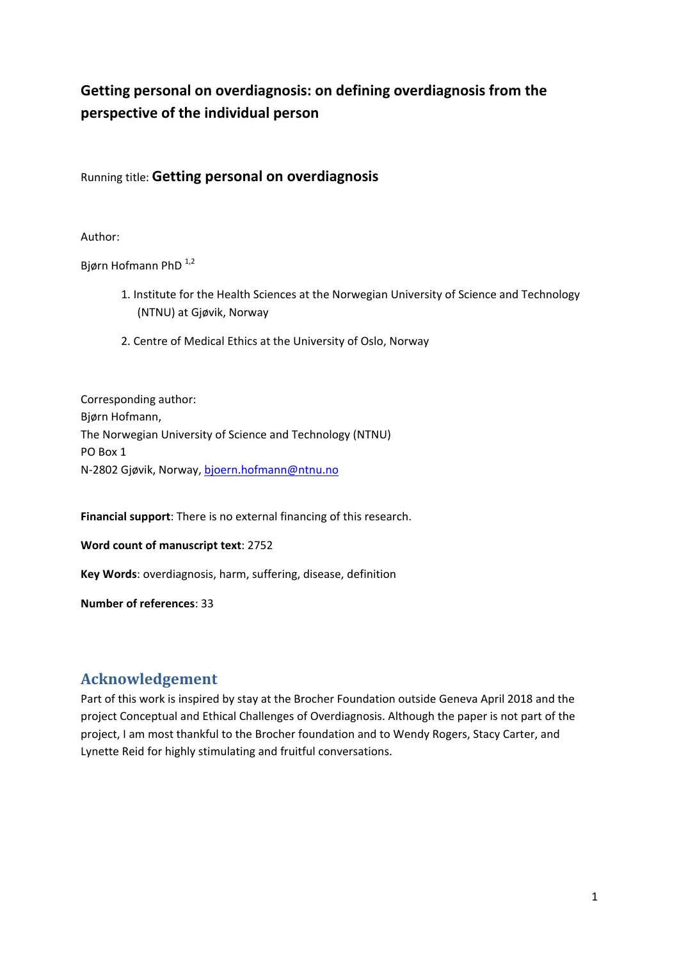# **Getting personal on overdiagnosis: on defining overdiagnosis from the perspective of the individual person**

Running title: **Getting personal on overdiagnosis**

Author:

Bjørn Hofmann PhD<sup>1,2</sup>

- 1. Institute for the Health Sciences at the Norwegian University of Science and Technology (NTNU) at Gjøvik, Norway
- 2. Centre of Medical Ethics at the University of Oslo, Norway

Corresponding author: Bjørn Hofmann, The Norwegian University of Science and Technology (NTNU) PO Box 1 N‐2802 Gjøvik, Norway, bjoern.hofmann@ntnu.no

**Financial support**: There is no external financing of this research.

**Word count of manuscript text**: 2752

**Key Words**: overdiagnosis, harm, suffering, disease, definition

**Number of references**: 33

## Acknowledgement

Part of this work is inspired by stay at the Brocher Foundation outside Geneva April 2018 and the project Conceptual and Ethical Challenges of Overdiagnosis. Although the paper is not part of the project, I am most thankful to the Brocher foundation and to Wendy Rogers, Stacy Carter, and Lynette Reid for highly stimulating and fruitful conversations.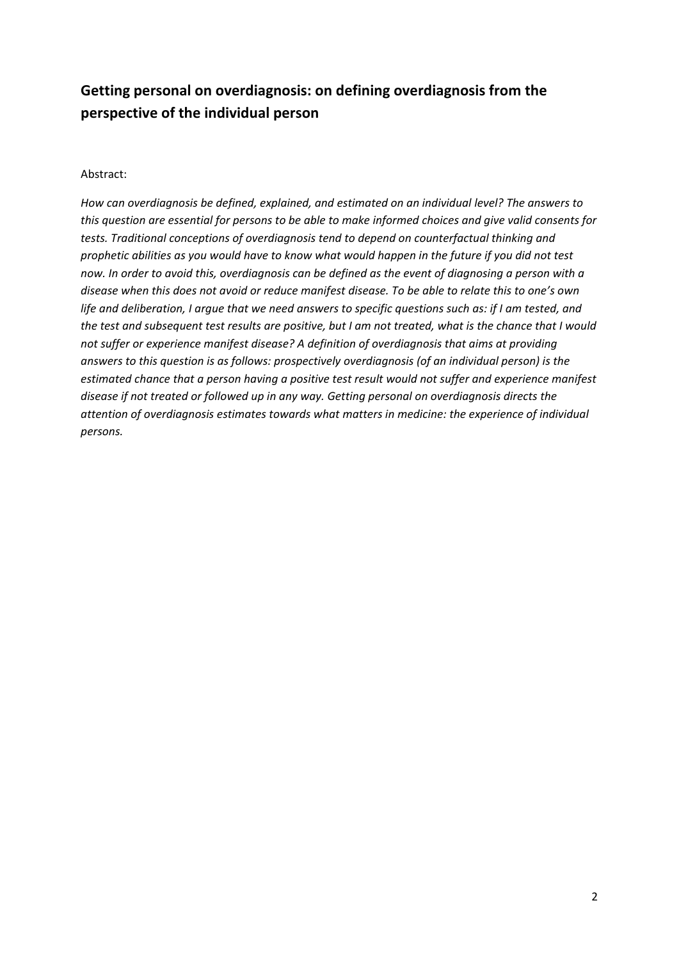# **Getting personal on overdiagnosis: on defining overdiagnosis from the perspective of the individual person**

#### Abstract:

*How can overdiagnosis be defined, explained, and estimated on an individual level? The answers to* this question are essential for persons to be able to make informed choices and give valid consents for *tests. Traditional conceptions of overdiagnosis tend to depend on counterfactual thinking and* prophetic abilities as you would have to know what would happen in the future if you did not test now. In order to avoid this, overdiagnosis can be defined as the event of diagnosing a person with a disease when this does not avoid or reduce manifest disease. To be able to relate this to one's own life and deliberation, I argue that we need answers to specific questions such as: if I am tested, and the test and subsequent test results are positive, but I am not treated, what is the chance that I would *not suffer or experience manifest disease? A definition of overdiagnosis that aims at providing answers to this question is as follows: prospectively overdiagnosis (of an individual person) is the estimated chance that a person having a positive test result would not suffer and experience manifest disease if not treated or followed up in any way. Getting personal on overdiagnosis directs the attention of overdiagnosis estimates towards what matters in medicine: the experience of individual persons.*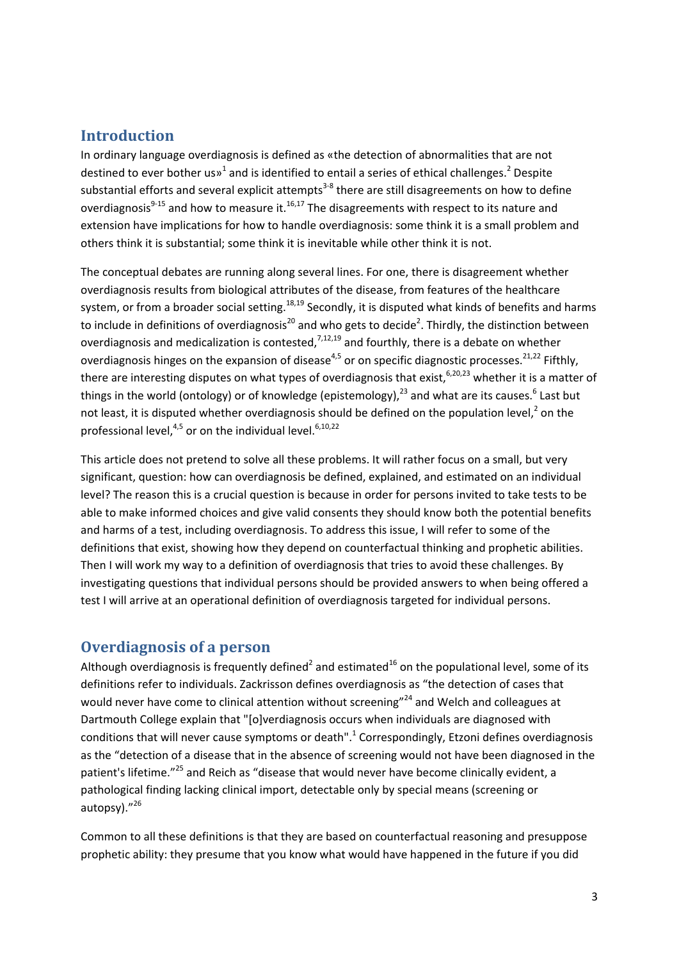#### **Introduction**

In ordinary language overdiagnosis is defined as «the detection of abnormalities that are not destined to ever bother us $v<sup>1</sup>$  and is identified to entail a series of ethical challenges.<sup>2</sup> Despite substantial efforts and several explicit attempts<sup>3-8</sup> there are still disagreements on how to define overdiagnosis<sup>9-15</sup> and how to measure it.<sup>16,17</sup> The disagreements with respect to its nature and extension have implications for how to handle overdiagnosis: some think it is a small problem and others think it is substantial; some think it is inevitable while other think it is not.

The conceptual debates are running along several lines. For one, there is disagreement whether overdiagnosis results from biological attributes of the disease, from features of the healthcare system, or from a broader social setting.<sup>18,19</sup> Secondly, it is disputed what kinds of benefits and harms to include in definitions of overdiagnosis<sup>20</sup> and who gets to decide<sup>2</sup>. Thirdly, the distinction between overdiagnosis and medicalization is contested,  $7,12,19$  and fourthly, there is a debate on whether overdiagnosis hinges on the expansion of disease<sup>4,5</sup> or on specific diagnostic processes.<sup>21,22</sup> Fifthly, there are interesting disputes on what types of overdiagnosis that exist,<sup>6,20,23</sup> whether it is a matter of things in the world (ontology) or of knowledge (epistemology).<sup>23</sup> and what are its causes.<sup>6</sup> Last but not least, it is disputed whether overdiagnosis should be defined on the population level, $<sup>2</sup>$  on the</sup> professional level, $4,5$  or on the individual level. $6,10,22$ 

This article does not pretend to solve all these problems. It will rather focus on a small, but very significant, question: how can overdiagnosis be defined, explained, and estimated on an individual level? The reason this is a crucial question is because in order for persons invited to take tests to be able to make informed choices and give valid consents they should know both the potential benefits and harms of a test, including overdiagnosis. To address this issue, I will refer to some of the definitions that exist, showing how they depend on counterfactual thinking and prophetic abilities. Then I will work my way to a definition of overdiagnosis that tries to avoid these challenges. By investigating questions that individual persons should be provided answers to when being offered a test I will arrive at an operational definition of overdiagnosis targeted for individual persons.

#### **Overdiagnosis of a person**

Although overdiagnosis is frequently defined<sup>2</sup> and estimated<sup>16</sup> on the populational level, some of its definitions refer to individuals. Zackrisson defines overdiagnosis as "the detection of cases that would never have come to clinical attention without screening"<sup>24</sup> and Welch and colleagues at Dartmouth College explain that "[o]verdiagnosis occurs when individuals are diagnosed with conditions that will never cause symptoms or death".<sup>1</sup> Correspondingly, Etzoni defines overdiagnosis as the "detection of a disease that in the absence of screening would not have been diagnosed in the patient's lifetime."<sup>25</sup> and Reich as "disease that would never have become clinically evident, a pathological finding lacking clinical import, detectable only by special means (screening or autopsy)."<sup>26</sup>

Common to all these definitions is that they are based on counterfactual reasoning and presuppose prophetic ability: they presume that you know what would have happened in the future if you did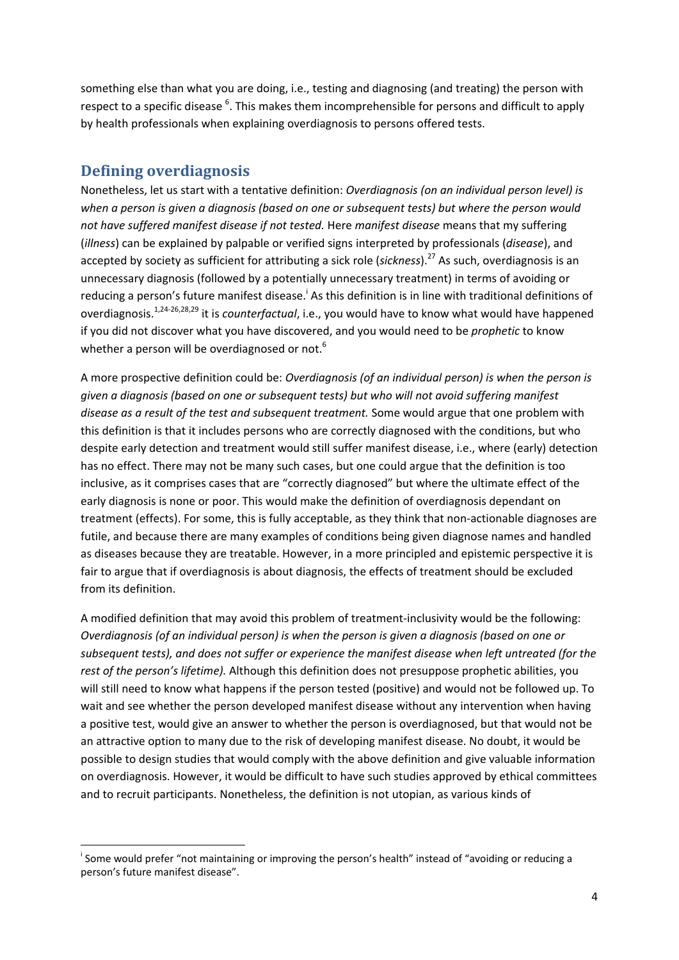something else than what you are doing, i.e., testing and diagnosing (and treating) the person with respect to a specific disease <sup>6</sup>. This makes them incomprehensible for persons and difficult to apply by health professionals when explaining overdiagnosis to persons offered tests.

## **Defining overdiagnosis**

Nonetheless, let us start with a tentative definition: *Overdiagnosis (on an individual person level) is when a person is given a diagnosis (based on one or subsequent tests) but where the person would not have suffered manifest disease if not tested.* Here *manifest disease* means that my suffering (*illness*) can be explained by palpable or verified signs interpreted by professionals (*disease*), and accepted by society as sufficient for attributing a sick role (sickness).<sup>27</sup> As such, overdiagnosis is an unnecessary diagnosis (followed by a potentially unnecessary treatment) in terms of avoiding or reducing a person's future manifest disease.<sup>i</sup> As this definition is in line with traditional definitions of overdiagnosis.1,24‐26,28,29 it is *counterfactual*, i.e., you would have to know what would have happened if you did not discover what you have discovered, and you would need to be *prophetic* to know whether a person will be overdiagnosed or not.<sup>6</sup>

A more prospective definition could be: *Overdiagnosis (of an individual person) is when the person is given a diagnosis (based on one or subsequent tests) but who will not avoid suffering manifest disease as a result of the test and subsequent treatment.* Some would argue that one problem with this definition is that it includes persons who are correctly diagnosed with the conditions, but who despite early detection and treatment would still suffer manifest disease, i.e., where (early) detection has no effect. There may not be many such cases, but one could argue that the definition is too inclusive, as it comprises cases that are "correctly diagnosed" but where the ultimate effect of the early diagnosis is none or poor. This would make the definition of overdiagnosis dependant on treatment (effects). For some, this is fully acceptable, as they think that non‐actionable diagnoses are futile, and because there are many examples of conditions being given diagnose names and handled as diseases because they are treatable. However, in a more principled and epistemic perspective it is fair to argue that if overdiagnosis is about diagnosis, the effects of treatment should be excluded from its definition.

A modified definition that may avoid this problem of treatment‐inclusivity would be the following: *Overdiagnosis (of an individual person) is when the person is given a diagnosis (based on one or subsequent tests), and does not suffer or experience the manifest disease when left untreated (for the rest of the person's lifetime).* Although this definition does not presuppose prophetic abilities, you will still need to know what happens if the person tested (positive) and would not be followed up. To wait and see whether the person developed manifest disease without any intervention when having a positive test, would give an answer to whether the person is overdiagnosed, but that would not be an attractive option to many due to the risk of developing manifest disease. No doubt, it would be possible to design studies that would comply with the above definition and give valuable information on overdiagnosis. However, it would be difficult to have such studies approved by ethical committees and to recruit participants. Nonetheless, the definition is not utopian, as various kinds of

 <sup>i</sup> Some would prefer "not maintaining or improving the person's health" instead of "avoiding or reducing a person's future manifest disease".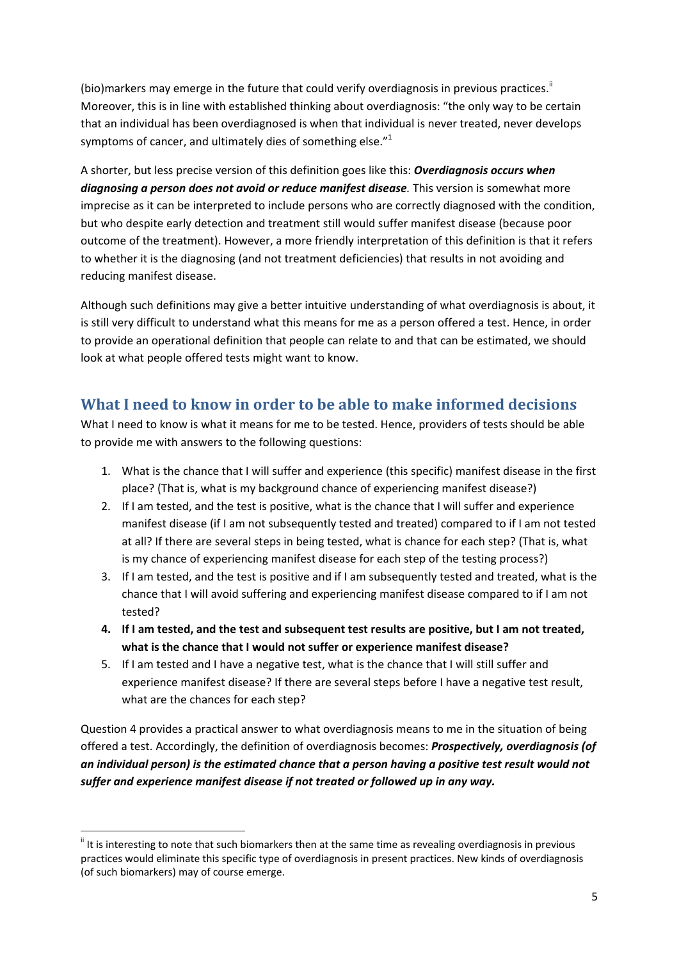(bio)markers may emerge in the future that could verify overdiagnosis in previous practices.<sup>ii</sup> Moreover, this is in line with established thinking about overdiagnosis: "the only way to be certain that an individual has been overdiagnosed is when that individual is never treated, never develops symptoms of cancer, and ultimately dies of something else. $^{\prime\prime}{}^{1}$ 

A shorter, but less precise version of this definition goes like this: *Overdiagnosis occurs when diagnosing a person does not avoid or reduce manifest disease.* This version is somewhat more imprecise as it can be interpreted to include persons who are correctly diagnosed with the condition, but who despite early detection and treatment still would suffer manifest disease (because poor outcome of the treatment). However, a more friendly interpretation of this definition is that it refers to whether it is the diagnosing (and not treatment deficiencies) that results in not avoiding and reducing manifest disease.

Although such definitions may give a better intuitive understanding of what overdiagnosis is about, it is still very difficult to understand what this means for me as a person offered a test. Hence, in order to provide an operational definition that people can relate to and that can be estimated, we should look at what people offered tests might want to know.

## **What I need to know in order to be able to make informed decisions**

What I need to know is what it means for me to be tested. Hence, providers of tests should be able to provide me with answers to the following questions:

- 1. What is the chance that I will suffer and experience (this specific) manifest disease in the first place? (That is, what is my background chance of experiencing manifest disease?)
- 2. If I am tested, and the test is positive, what is the chance that I will suffer and experience manifest disease (if I am not subsequently tested and treated) compared to if I am not tested at all? If there are several steps in being tested, what is chance for each step? (That is, what is my chance of experiencing manifest disease for each step of the testing process?)
- 3. If I am tested, and the test is positive and if I am subsequently tested and treated, what is the chance that I will avoid suffering and experiencing manifest disease compared to if I am not tested?
- 4. If I am tested, and the test and subsequent test results are positive, but I am not treated, **what is the chance that I would not suffer or experience manifest disease?**
- 5. If I am tested and I have a negative test, what is the chance that I will still suffer and experience manifest disease? If there are several steps before I have a negative test result, what are the chances for each step?

Question 4 provides a practical answer to what overdiagnosis means to me in the situation of being offered a test. Accordingly, the definition of overdiagnosis becomes: *Prospectively, overdiagnosis (of an individual person) is the estimated chance that a person having a positive test result would not suffer and experience manifest disease if not treated or followed up in any way.* 

If it is interesting to note that such biomarkers then at the same time as revealing overdiagnosis in previous practices would eliminate this specific type of overdiagnosis in present practices. New kinds of overdiagnosis (of such biomarkers) may of course emerge.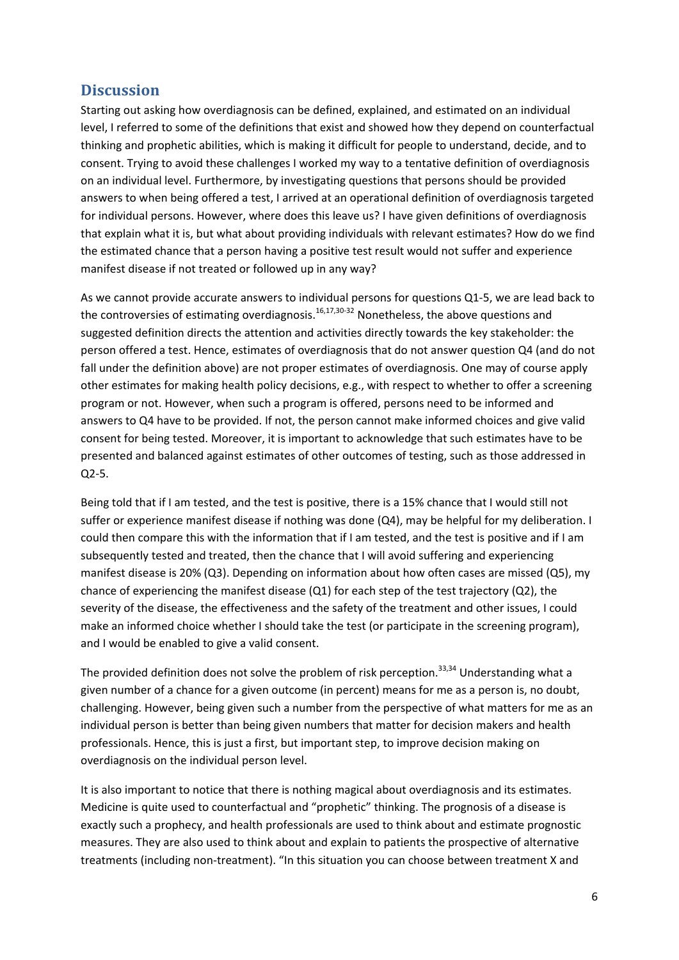#### **Discussion**

Starting out asking how overdiagnosis can be defined, explained, and estimated on an individual level, I referred to some of the definitions that exist and showed how they depend on counterfactual thinking and prophetic abilities, which is making it difficult for people to understand, decide, and to consent. Trying to avoid these challenges I worked my way to a tentative definition of overdiagnosis on an individual level. Furthermore, by investigating questions that persons should be provided answers to when being offered a test, I arrived at an operational definition of overdiagnosis targeted for individual persons. However, where does this leave us? I have given definitions of overdiagnosis that explain what it is, but what about providing individuals with relevant estimates? How do we find the estimated chance that a person having a positive test result would not suffer and experience manifest disease if not treated or followed up in any way?

As we cannot provide accurate answers to individual persons for questions Q1‐5, we are lead back to the controversies of estimating overdiagnosis.<sup>16,17,30-32</sup> Nonetheless, the above questions and suggested definition directs the attention and activities directly towards the key stakeholder: the person offered a test. Hence, estimates of overdiagnosis that do not answer question Q4 (and do not fall under the definition above) are not proper estimates of overdiagnosis. One may of course apply other estimates for making health policy decisions, e.g., with respect to whether to offer a screening program or not. However, when such a program is offered, persons need to be informed and answers to Q4 have to be provided. If not, the person cannot make informed choices and give valid consent for being tested. Moreover, it is important to acknowledge that such estimates have to be presented and balanced against estimates of other outcomes of testing, such as those addressed in Q2‐5.

Being told that if I am tested, and the test is positive, there is a 15% chance that I would still not suffer or experience manifest disease if nothing was done (Q4), may be helpful for my deliberation. I could then compare this with the information that if I am tested, and the test is positive and if I am subsequently tested and treated, then the chance that I will avoid suffering and experiencing manifest disease is 20% (Q3). Depending on information about how often cases are missed (Q5), my chance of experiencing the manifest disease (Q1) for each step of the test trajectory (Q2), the severity of the disease, the effectiveness and the safety of the treatment and other issues, I could make an informed choice whether I should take the test (or participate in the screening program), and I would be enabled to give a valid consent.

The provided definition does not solve the problem of risk perception.<sup>33,34</sup> Understanding what a given number of a chance for a given outcome (in percent) means for me as a person is, no doubt, challenging. However, being given such a number from the perspective of what matters for me as an individual person is better than being given numbers that matter for decision makers and health professionals. Hence, this is just a first, but important step, to improve decision making on overdiagnosis on the individual person level.

It is also important to notice that there is nothing magical about overdiagnosis and its estimates. Medicine is quite used to counterfactual and "prophetic" thinking. The prognosis of a disease is exactly such a prophecy, and health professionals are used to think about and estimate prognostic measures. They are also used to think about and explain to patients the prospective of alternative treatments (including non‐treatment). "In this situation you can choose between treatment X and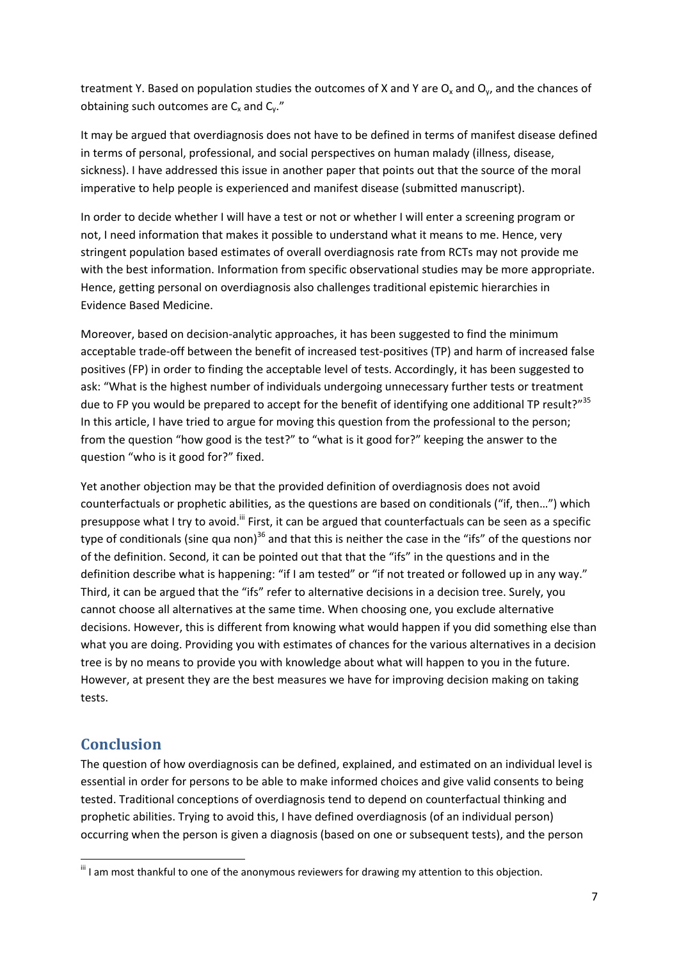treatment Y. Based on population studies the outcomes of X and Y are  $O_x$  and  $O_y$ , and the chances of obtaining such outcomes are  $C_x$  and  $C_y$ ."

It may be argued that overdiagnosis does not have to be defined in terms of manifest disease defined in terms of personal, professional, and social perspectives on human malady (illness, disease, sickness). I have addressed this issue in another paper that points out that the source of the moral imperative to help people is experienced and manifest disease (submitted manuscript).

In order to decide whether I will have a test or not or whether I will enter a screening program or not, I need information that makes it possible to understand what it means to me. Hence, very stringent population based estimates of overall overdiagnosis rate from RCTs may not provide me with the best information. Information from specific observational studies may be more appropriate. Hence, getting personal on overdiagnosis also challenges traditional epistemic hierarchies in Evidence Based Medicine.

Moreover, based on decision‐analytic approaches, it has been suggested to find the minimum acceptable trade‐off between the benefit of increased test‐positives (TP) and harm of increased false positives (FP) in order to finding the acceptable level of tests. Accordingly, it has been suggested to ask: "What is the highest number of individuals undergoing unnecessary further tests or treatment due to FP you would be prepared to accept for the benefit of identifying one additional TP result?"<sup>35</sup> In this article, I have tried to argue for moving this question from the professional to the person; from the question "how good is the test?" to "what is it good for?" keeping the answer to the question "who is it good for?" fixed.

Yet another objection may be that the provided definition of overdiagnosis does not avoid counterfactuals or prophetic abilities, as the questions are based on conditionals ("if, then…") which presuppose what I try to avoid.<sup>iii</sup> First, it can be argued that counterfactuals can be seen as a specific type of conditionals (sine qua non)<sup>36</sup> and that this is neither the case in the "ifs" of the questions nor of the definition. Second, it can be pointed out that that the "ifs" in the questions and in the definition describe what is happening: "if I am tested" or "if not treated or followed up in any way." Third, it can be argued that the "ifs" refer to alternative decisions in a decision tree. Surely, you cannot choose all alternatives at the same time. When choosing one, you exclude alternative decisions. However, this is different from knowing what would happen if you did something else than what you are doing. Providing you with estimates of chances for the various alternatives in a decision tree is by no means to provide you with knowledge about what will happen to you in the future. However, at present they are the best measures we have for improving decision making on taking tests.

## **Conclusion**

The question of how overdiagnosis can be defined, explained, and estimated on an individual level is essential in order for persons to be able to make informed choices and give valid consents to being tested. Traditional conceptions of overdiagnosis tend to depend on counterfactual thinking and prophetic abilities. Trying to avoid this, I have defined overdiagnosis (of an individual person) occurring when the person is given a diagnosis (based on one or subsequent tests), and the person

 $^{\text{\tiny{III}}}$  I am most thankful to one of the anonymous reviewers for drawing my attention to this objection.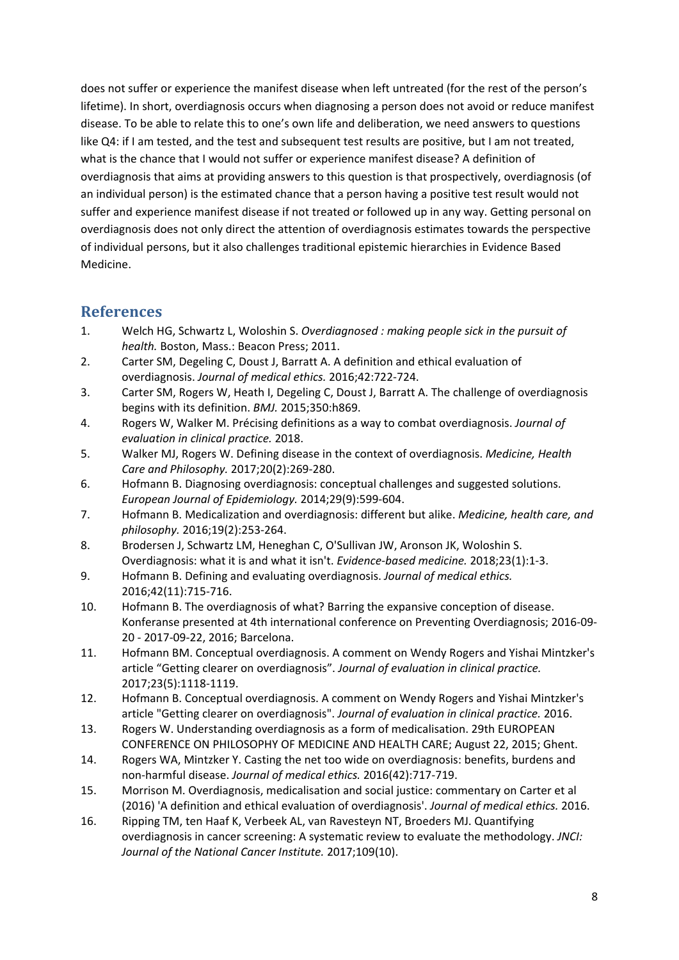does not suffer or experience the manifest disease when left untreated (for the rest of the person's lifetime). In short, overdiagnosis occurs when diagnosing a person does not avoid or reduce manifest disease. To be able to relate this to one's own life and deliberation, we need answers to questions like Q4: if I am tested, and the test and subsequent test results are positive, but I am not treated, what is the chance that I would not suffer or experience manifest disease? A definition of overdiagnosis that aims at providing answers to this question is that prospectively, overdiagnosis (of an individual person) is the estimated chance that a person having a positive test result would not suffer and experience manifest disease if not treated or followed up in any way. Getting personal on overdiagnosis does not only direct the attention of overdiagnosis estimates towards the perspective of individual persons, but it also challenges traditional epistemic hierarchies in Evidence Based Medicine.

#### **References**

- 1. Welch HG, Schwartz L, Woloshin S. *Overdiagnosed : making people sick in the pursuit of health.* Boston, Mass.: Beacon Press; 2011.
- 2. Carter SM, Degeling C, Doust J, Barratt A. A definition and ethical evaluation of overdiagnosis. *Journal of medical ethics.* 2016;42:722‐724.
- 3. Carter SM, Rogers W, Heath I, Degeling C, Doust J, Barratt A. The challenge of overdiagnosis begins with its definition. *BMJ.* 2015;350:h869.
- 4. Rogers W, Walker M. Précising definitions as a way to combat overdiagnosis. *Journal of evaluation in clinical practice.* 2018.
- 5. Walker MJ, Rogers W. Defining disease in the context of overdiagnosis. *Medicine, Health Care and Philosophy.* 2017;20(2):269‐280.
- 6. Hofmann B. Diagnosing overdiagnosis: conceptual challenges and suggested solutions. *European Journal of Epidemiology.* 2014;29(9):599‐604.
- 7. Hofmann B. Medicalization and overdiagnosis: different but alike. *Medicine, health care, and philosophy.* 2016;19(2):253‐264.
- 8. Brodersen J, Schwartz LM, Heneghan C, O'Sullivan JW, Aronson JK, Woloshin S. Overdiagnosis: what it is and what it isn't. *Evidence‐based medicine.* 2018;23(1):1‐3.
- 9. Hofmann B. Defining and evaluating overdiagnosis. *Journal of medical ethics.* 2016;42(11):715‐716.
- 10. Hofmann B. The overdiagnosis of what? Barring the expansive conception of disease. Konferanse presented at 4th international conference on Preventing Overdiagnosis; 2016‐09‐ 20 ‐ 2017‐09‐22, 2016; Barcelona.
- 11. Hofmann BM. Conceptual overdiagnosis. A comment on Wendy Rogers and Yishai Mintzker's article "Getting clearer on overdiagnosis". *Journal of evaluation in clinical practice.* 2017;23(5):1118‐1119.
- 12. Hofmann B. Conceptual overdiagnosis. A comment on Wendy Rogers and Yishai Mintzker's article "Getting clearer on overdiagnosis". *Journal of evaluation in clinical practice.* 2016.
- 13. Rogers W. Understanding overdiagnosis as a form of medicalisation. 29th EUROPEAN CONFERENCE ON PHILOSOPHY OF MEDICINE AND HEALTH CARE; August 22, 2015; Ghent.
- 14. Rogers WA, Mintzker Y. Casting the net too wide on overdiagnosis: benefits, burdens and non‐harmful disease. *Journal of medical ethics.* 2016(42):717‐719.
- 15. Morrison M. Overdiagnosis, medicalisation and social justice: commentary on Carter et al (2016) 'A definition and ethical evaluation of overdiagnosis'. *Journal of medical ethics.* 2016.
- 16. Ripping TM, ten Haaf K, Verbeek AL, van Ravesteyn NT, Broeders MJ. Quantifying overdiagnosis in cancer screening: A systematic review to evaluate the methodology. *JNCI: Journal of the National Cancer Institute.* 2017;109(10).